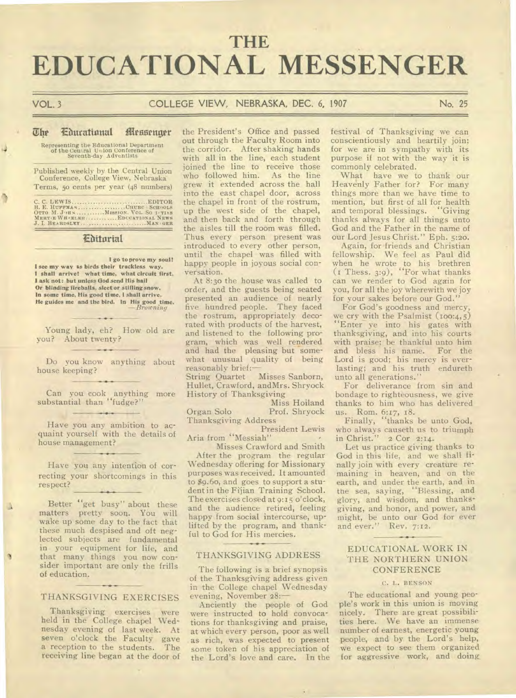# **THE EDUCATIONAL MESSENGER**

ð

## VOL. 3 COLLEGE VIEW, NEBRASKA, DEC. 6, 1907 No. 25

#### $\overline{u}$  he **Eburattattal itiessettorr**

Representing the Educational Department of the Central Union Conference of<br>Seventh-day Adventists

Published weekly by the Central Union Conference, College View, Nebraska Terms, 5o cents per year (48 numbers)

C. C. LEWIS .EDITOR B. E. **HUFFMAN CHURC • SCHOOLS OTTO M. J./11,4 MISSION. VOL. SOTIAS MERT4E WH**✓**.ELER .EDUCATIONAL NEWS**  *J. I.* **BEARDSLEY MANGER** 

### **Etiturial**

**I go to prove my soul! I see my way as birds their trackless way. I shall arrive! what time, what circuit first, I ask not: but unless God send His hail Or blinding fireballs, sleet or stifling snow, In some time, His good time, I shall arrive. He guides me and the bird. In His good time.**  *—Browning* 

Young lady, eh? How old are you? About twenty?

Do you know anything about house keeping?

Can you cook anything more substantial than "fudge?"

Have you any ambition to acquaint yourself with the details of house management?

Have you any intention of correcting your shortcomings in this respect?

Better "get busy" about these matters pretty soon. You will wake up some day to the fact that these much despised and oft neglected subjects are fundamental in your equipment for life, and that many things you now consider important are only the frills of education.

## THANKSGIVING EXERCISES

Thanksgiving exercises were held in the College chapel Wednesday evening of last week. At seven o'clock the Faculty gave<br>a reception to the students. The a reception to the students. receiving line began at the door of

the President's Office and passed out through the Faculty Room into the corridor. After shaking hands with all in the line, each student joined the line to receive those who followed him. As the line grew it extended across the hall into the east chapel door, across the chapel in front of the rostrum, up the west side of the chapel, and then back and forth through the aisles till the room was filled. Thus every person present was introduced to every other person, until the chapel was filled with happy people in joyous social conversation.

At 8:3o the house was called to order, and the guests being seated presented an audience of nearly five hundred people. They faced the rostrum, appropriately decorated with products of the harvest, and listened to the following program, which was well rendered and had the pleasing but somewhat unusual quality of being reasonably brief:<br>String Quartet

Misses Sanborn, Hullet, Crawford, andMrs. Shryock History of Thanksgiving

Miss Hoiland Organ Solo Prof. Shryock Thanksgiving Address

President Lewis Aria from "Messiah"

Misses Crawford and Smith After the program the regular Wednesday offering for Missionary purposes was received. It amounted to \$9.60, and goes to support a student in the Fijian Training School. The exercises closed at 9:15 o'clock, and the audience retired, feeling happy from social intercourse, uplifted by the program, and thankful to God for His mercies.

#### THANKSGIVING ADDRESS

The following is a brief synopsis of the Thanksgiving address given in the College chapel Wednesday evening, November 28:-

Anciently the people of God were instructed to hold convocations for thanksgiving and praise, at which every person, poor as well as rich, was expected to present some token of his appreciation of the Lord's love and care. In the

festival of Thanksgiving we can conscientiously and heartily join; for we are in sympathy with its purpose if not with the way it is commonly celebrated.

What have we to thank our Heavenly Father for? For many things more than we have time to mention, but first of all for health and temporal blessings. "Giving thanks always for all things unto God and the Father in the name of our Lord Jesus Christ." Eph. 5:2o.

Again, for friends and Christian fellowship. We feel as Paul did when he wrote to his brethren (1 Thess. 3:9), "For what thanks can we render to God again for you, for all the joy wherewith we joy for your sakes before our God."

For God's goodness and mercy, we cry with the Psalmist (100:4,5) "Enter ye into his gates with thanksgiving, and into his courts with praise; be thankful unto him and bless his name. For the Lord is good; his mercy is everlasting; and his truth endureth unto all generations."

For deliverance from sin and bondage to righteousness, we give thanks to him who has delivered us. Rom. 6:17, 18.

Finally, "thanks be unto God, who always causeth us to triumph in Christ." 2 Cor 2:14.

Let us practice giving thanks to God in this life, and we shall finally join with every creature remaining in heaven, and on the earth, and under the earth, and in the sea, saying, "Blessing, and glory, and wisdom, and thanksgiving, and honor, and power, and might, be unto our God for ever and ever." Rev. 7:12.

## EDUCATIONAL WORK IN THE NORTHERN UNION CONFERENCE

## C. L. BENSON

The educational and young people's work in this union is moving nicely. There are great possibilities here. We have an immense number of earnest, energetic young people, and by the Lord's help, we expect to see them organized for aggressive work, and doing.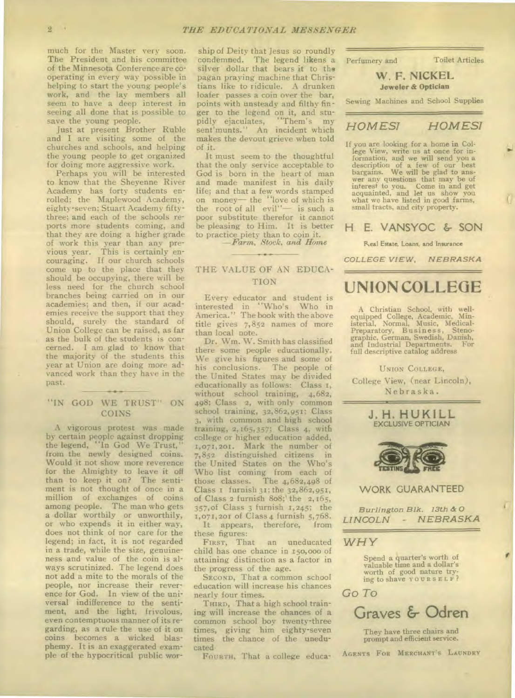much for the Master very soon. The President and his committee of the Minnesota Conference are cooperating in every way possible in helping to start the young people's work, and the lay members all seem to have a deep interest in seeing all done that is possible to save the young people.

Just at present Brother Ruble and I are visiting some of the churches and schools, and helping the young people to get organized for doing more aggressive work.

Perhaps you will be interested to know that the Sheyenne River Academy has forty students enrolled; the Maplewood Academy, eighty-seven; Stuart Academy fiftythree; and each of the schools reports more students coming, and that they are doing a higher grade of work this year than any previous year. This is certainly encouraging. If our church schools come up to the place that they should be occupying, there will be less need for the church school branches being carried on in our academies; and then, if our academies receive the support that they should, surely the standard of Union College can be raised, as far as the bulk of the students is concerned. I am glad to know that the majority of the students this year at Union are doing more advanced work than they have in the past.

## *"IN* GOD WE TRUST" ON COINS

A vigorous protest was made by certain people against dropping the legend, "In God We Trust," from the newly designed coins. Would it not show more reverence for the Almighty to leave it off than to keep it on? The sentiment is not thought of once in a million of exchanges of coins among people. The man who gets a dollar worthily or unworthily, or who expends it in either way, does not think of nor care for the legend; in fact, it is not regarded in a trade, while the size, genuineness and value of the coin is always scrutinized. The legend does not add a mite to the morals of the people, nor increase their reverence for God. In view of the universal indifference to the sentiment, and the light, frivolous, even contemptuous manner of its regarding, as a rule the use of it on coins becomes a wicked blasphemy. It is an exaggerated example of the hypocritical public wor-

ship of Deity that Jesus so roundly condemned. The legend likens a silver dollar that bears it to the pagan praying machine that Christians like to ridicule. A drunken loafer passes a coin over the bar, points with unsteady and filthy finger to the legend on it, and stupidly ejaculates, "Them's my sent'munts." An incident which makes the devout grieve when told of it.

It must seem to the thoughtful that the only service acceptable to God is born in the heart of man and made manifest in his daily life; and that a few words stamped on money— the "love of which is the root of all evil"— is such a poor substitute therefor it cannot be pleasing to Him. It is better to practice piety than to coin it.

*—Farm, Stock, and Home* 

## THE VALUE OF AN EDUCA-TION

Every educator and student is interested in "Who's Who in America." The book with the above title gives 7,852 names of more than local note.

Dr. Wm. W. Smith has classified there some people educationally. We give his figures and some of his conclusions. The people of the United States may be divided educationally as follows: Class 1, without school training, 4,682, 498; Class 2, with only common school training, 32,862,951; Class 3, with common and high school training, 2,165,357; Class 4, with college or higher education added, 1,071,201. Mark the number of 7,852 distinguished citizens in the United States on the Who's Who list coming from each of those classes. The  $4,682,498$  of The 4,682,498 of Class I furnish 31; the 32,862,951, of Class 2 furnish 8o8;' the 2,165, 357,of Class 3 furnish 1,245; the 1,071,201 of Class 4 furnish 5,768. It appears, therefore, from these figures:<br>FIRST, That

an uneducated child has one chance in 150,00o of attaining distinction as a factor in the progress of the age.

SECOND, That a common school education will increase his chances nearly four times.

THIRD, That a high school training will increase the chances of a common school boy twenty-three times, giving him eighty-seven times the chance of the uneducated.

FOURTH, That a college educa-

Perfumery and Toilet Articles

## W. F. NICKEL **Jeweler & Optician**

Sewing Machines and School Supplies

## *HOMEST HOMES!*

If you are looking for a home in College View, write us at once for information, and we will send you a description of a few of our best bargains. We will be glad to ans-wer any questions that may be of interest to you. Come in and get acquainted, and let us show you what we have listed in good farms, small tracts, and city property.

## H. E. VANSYOC & SON

Real Estate, Loans, and Insurance

*COLLEGE VIEW, NEBRASKA* 

## **UNION COLLEGE**

A Christian School, with wellequipped College, Academic, Min-isterial, Normal, Music, Medical-Preparatory, Business, Steno-graphic, German, Swedish, Danish, and Industrial Departments. For full descriptive catalog address

UNION COLLEGE, College View, (near Lincoln), Nebraska.

> **J. H. HUKILL**  EXCLUSIVE OPTICIAN



WORK GUARANTEED

*Burlington Blk. 13th &* 0 *LINCOLN - NEBRASKA* 

## *WHY*

Spend a quarter's worth of valuable time and a dollar's worth of good nature trying to shave YOURSELF?





They have three chairs and prompt and efficient service.

AGENTS FOR MERCHANT'S LAUNDRY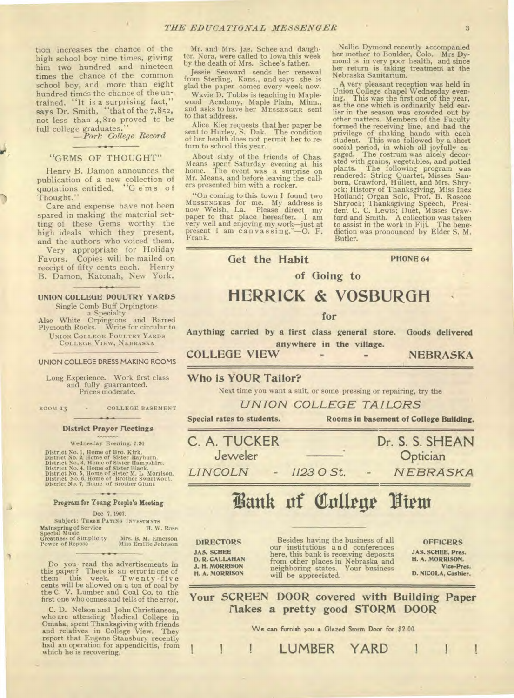tion increases the chance of the high school boy nine times, giving *him* two hundred and nineteen times the chance of the common school boy, and more than eight hundred times the chance of the untrained. "It is a surprising fact," says Dr. Smith, "that of the 7,852, not less than 4,810 proved to be full college graduates."

*—Pork College Record* 

#### "GEMS OF THOUGHT"

Henry B. Damon announces the publication of a new collection of quotations entitled, "G ems of Thought."

Care and expense have not been spared in making the material setting of these Gems worthy the high ideals which they present, and the authors who voiced them.

Very appropriate for Holiday Favors. Copies will be mailed on receipt of fifty cents each. Henry B. Damon, Katonah, New York.

#### **UNION COLLEGE POULTRY YARDS**

Single Comb Buff Orpingtons a Specialty Also White Orpingtons and Barred Plymouth Rocks. Write for circular to UNION COLLEGE POULTRY YARDS COLLEGE VIEW, NEBRASKA

#### **UNION COLLEGE DRESS MAKING ROOMS**

Long Experience. Work first class and fully guarranteed. Prices moderate.

ROOM 13 . COLLEGE BASEMENT

#### **District Prayer fleetings**

#### Wednesday Evening, 7:30

District No. 1, Home of Bro. Kirk.<br>District No. 2, Home of Sister Rayburn.<br>District No. 3, Home of Sister Hampshire.<br>District No. 4, Home of Sister Hlack.<br>District No. 6, Home of Sister M. L. Morrison.<br>District No. 6, Home

#### **Program for Young People's Meeting**

### Dec 7, 1907.

Subject: THREE PATING INVESTMNTS<br> **ISONIFY IN ANGELIA CONSTRUCTER CONSUMING A** H. W. Rose **Mainspring** of Service H. W. Rose Special Music Greatness of Simplicity Mrs. B. M. Emerson Power of Repose Miss Emilie Johnson

Do you read the advertisements in this paper? There is an error in one of them this week. Twenty-five cents will be allowed on a ton of coal by the C. V. Lumber and Coal Co. to the first one who comes and tells of the erro

C. D. Nelson and John Christianson, who are attending Medical College in Omaha, spent Thanksgiving with friends and relatives in College View. They report that Eugene Stansbury recently had an operation for appendicitis, from which he is recovering.

Mr. and Mrs. Jas. Schee and daugh-ter, Nora, were called to Iowa this week by the death of Mrs. Schee's father.

Jessie Seaward sends her renewal from Sterling, Kans., and says she is glad the paper comes every week now.

Wavie D. Tubbs is teaching in Maplewood Academy, Maple Plain, Minn., and asks to have her MESSENGER sent to that address.

Alice Kier requests that her paper be sent to Hurley, S. Dak. The condition of her health does not permit her to return to school this year.

About sixty of the friends of Chas. Means spent Saturday evening at his home. The event was a surprise on Mr. Means, and before leaving the call-ers presented him with a rocker.

"On coming to this town I found two MESSENGERS for me. My address is now Welsh, La. Please direct my paper to that place hereafter. I am very well and enjoying my work—just at present I am canvassing. "-0. F. Frank.

Nellie Dymond recently accompanied her mother to Boulder, Colo. Mrs **Dy-mond** is in very poor health, and since her return is taking treatment at the Nebraska Sanitarium.

A very pleasant reception was held in Union College chapel Wednesday evening. This was the first one of the year, as the one which is ordinarily held earlier in the season was crowded out by<br>other matters. Members of the Faculty other matters. Members of the Faculty<br>formed the receiving line, and had the<br>privilege of shaking hands with each<br>student. This was followed by a short<br>social period, in which all joyfully en-<br>gaged. The rostrum was nicely ated with grains, vegetables, and potted<br>plants. The following program was<br>rendered: String Quartet, Misses San-<br>born, Crawford, Hullett, and Mrs. Shry-<br>ock; History of Thanksgiving, Miss Inez<br>Hoiland; Organ Solo, Prof. B. diction was pronounced by Elder S. M. Butler.

**Get the Habit PHONE 64** 

**of Going to** 

## **HERRICK & VOSBURGN**

**for** 

**Anything carried by a first class general store. Goods delivered anywhere in the village.** 

**COLLEGE VIEW = NEBRASKA** 

## **Who is YOUR Tailor?**

Next time you want a suit, or some pressing or repairing, try the

*UNION COLLEGE TAILORS* 

Special rates to **students. Rooms in basement of College Building.** 

**C. A. TUCKER**  Jeweler *LINCOLN - 1123 0 St.*  Dr. S. S. **SHEAN Optician** *N EBRASKA* 

## **Fank of College Hiem**

#### DIRECTORS

JAS. SCHEE D. **R.** CALLAHAN J. **H. MORRISON H. A. MORRISON** 

Besides having the business of all our institutions and conferences here, this bank is receiving deposits from other places in Nebraska and neighboring states. Your business will be appreciated. OFFICERS

JAS. SCHEE, Pres. H. A. MORRISON, **Vice-Pres. D. NICOLA, Cashier.** 

**Your SCREEN DOOR covered with Building Paper flakes a pretty good STORM DOOR** 

We can furnish you a Glazed Storm Door for \$2 00

LUMBER YARD